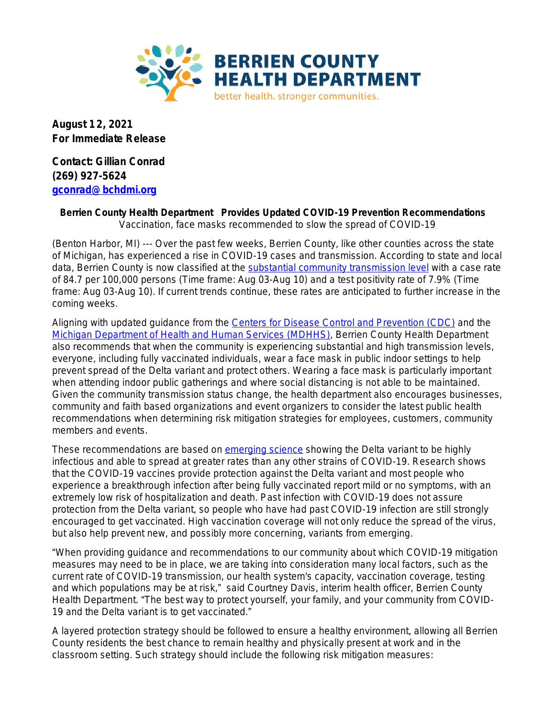

**August 12, 2021 For Immediate Release**

**Contact: Gillian Conrad (269) 927-5624 [gconrad@bchdmi.org](mailto:gconrad@bchdmi.org)**

## **Berrien County Health Department Provides Updated COVID-19 Prevention Recommendations** *Vaccination, face masks recommended to slow the spread of COVID-19*

(Benton Harbor, MI) --- Over the past few weeks, Berrien County, like other counties across the state of Michigan, has experienced a rise in COVID-19 cases and transmission. According to state and local data, Berrien County is now classified at the [substantial community transmission level](https://mistartmap.info/cdc-indicators?area=county%3Aberrien) with a case rate of 84.7 per 100,000 persons (Time frame: Aug 03-Aug 10) and a test positivity rate of 7.9% (Time frame: Aug 03-Aug 10). If current trends continue, these rates are anticipated to further increase in the coming weeks.

Aligning with updated guidance from the [Centers for Disease Control and Prevention \(CDC\)](https://www.cdc.gov/coronavirus/2019-ncov/vaccines/fully-vaccinated.html) and the [Michigan Department of Health and Human Services \(MDHHS\)](https://www.michigan.gov/documents/coronavirus/MDHHS_Face_Mask_Recommendations_5.20.21_725941_7.pdf), Berrien County Health Department also recommends that when the community is experiencing substantial and high transmission levels, everyone, including fully vaccinated individuals, wear a face mask in public indoor settings to help prevent spread of the Delta variant and protect others. Wearing a face mask is particularly important when attending indoor public gatherings and where social distancing is not able to be maintained. Given the community transmission status change, the health department also encourages businesses, community and faith based organizations and event organizers to consider the latest public health recommendations when determining risk mitigation strategies for employees, customers, community members and events.

These recommendations are based on [emerging science](https://www.cdc.gov/coronavirus/2019-ncov/variants/delta-variant.html) showing the Delta variant to be highly infectious and able to spread at greater rates than any other strains of COVID-19. Research shows that the COVID-19 vaccines provide protection against the Delta variant and most people who experience a breakthrough infection after being fully vaccinated report mild or no symptoms, with an extremely low risk of hospitalization and death. Past infection with COVID-19 does not assure protection from the Delta variant, so people who have had past COVID-19 infection are still strongly encouraged to get vaccinated. High vaccination coverage will not only reduce the spread of the virus, but also help prevent new, and possibly more concerning, variants from emerging.

"When providing guidance and recommendations to our community about which COVID-19 mitigation measures may need to be in place, we are taking into consideration many local factors, such as the current rate of COVID-19 transmission, our health system's capacity, vaccination coverage, testing and which populations may be at risk," said Courtney Davis, interim health officer, Berrien County Health Department. "The best way to protect yourself, your family, and your community from COVID-19 and the Delta variant is to get vaccinated."

A layered protection strategy should be followed to ensure a healthy environment, allowing all Berrien County residents the best chance to remain healthy and physically present at work and in the classroom setting. Such strategy should include the following risk mitigation measures: